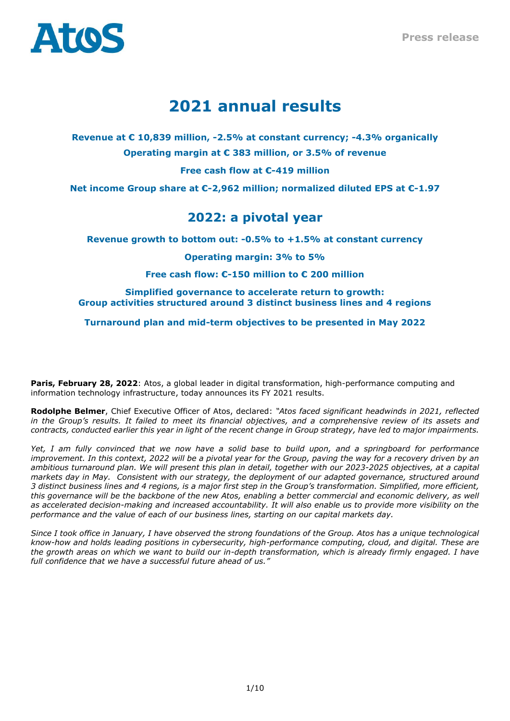

# **2021 annual results**

**Revenue at € 10,839 million, -2.5% at constant currency; -4.3% organically Operating margin at € 383 million, or 3.5% of revenue**

**Free cash flow at €-419 million** 

**Net income Group share at €-2,962 million; normalized diluted EPS at €-1.97**

## **2022: a pivotal year**

**Revenue growth to bottom out: -0.5% to +1.5% at constant currency**

**Operating margin: 3% to 5%**

**Free cash flow: €-150 million to € 200 million**

## **Simplified governance to accelerate return to growth: Group activities structured around 3 distinct business lines and 4 regions**

**Turnaround plan and mid-term objectives to be presented in May 2022** 

**Paris, February 28, 2022**: Atos, a global leader in digital transformation, high-performance computing and information technology infrastructure, today announces its FY 2021 results.

**Rodolphe Belmer**, Chief Executive Officer of Atos, declared: *"Atos faced significant headwinds in 2021, reflected in the Group's results. It failed to meet its financial objectives, and a comprehensive review of its assets and contracts, conducted earlier this year in light of the recent change in Group strategy, have led to major impairments.* 

*Yet, I am fully convinced that we now have a solid base to build upon, and a springboard for performance improvement. In this context, 2022 will be a pivotal year for the Group, paving the way for a recovery driven by an ambitious turnaround plan. We will present this plan in detail, together with our 2023-2025 objectives, at a capital markets day in May. Consistent with our strategy, the deployment of our adapted governance, structured around 3 distinct business lines and 4 regions, is a major first step in the Group's transformation. Simplified, more efficient, this governance will be the backbone of the new Atos, enabling a better commercial and economic delivery, as well as accelerated decision-making and increased accountability. It will also enable us to provide more visibility on the performance and the value of each of our business lines, starting on our capital markets day.*

*Since I took office in January, I have observed the strong foundations of the Group. Atos has a unique technological know-how and holds leading positions in cybersecurity, high-performance computing, cloud, and digital. These are the growth areas on which we want to build our in-depth transformation, which is already firmly engaged. I have full confidence that we have a successful future ahead of us."*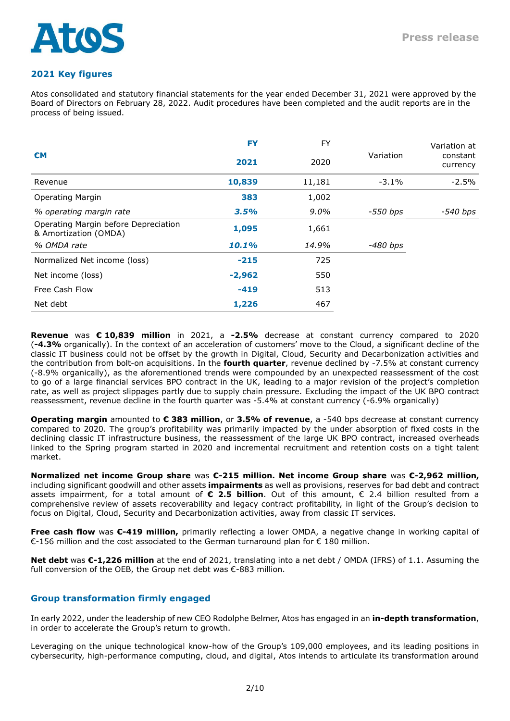

## **2021 Key figures**

Atos consolidated and statutory financial statements for the year ended December 31, 2021 were approved by the Board of Directors on February 28, 2022. Audit procedures have been completed and the audit reports are in the process of being issued.

| €M                                                            | <b>FY</b><br>2021 | <b>FY</b><br>2020 | Variation | Variation at<br>constant<br>currency |
|---------------------------------------------------------------|-------------------|-------------------|-----------|--------------------------------------|
| Revenue                                                       | 10,839            | 11,181            | $-3.1\%$  | $-2.5%$                              |
| <b>Operating Margin</b>                                       | 383               | 1,002             |           |                                      |
| % operating margin rate                                       | 3.5%              | $9.0\%$           | -550 bps  | $-540 bps$                           |
| Operating Margin before Depreciation<br>& Amortization (OMDA) | 1,095             | 1,661             |           |                                      |
| % OMDA rate                                                   | 10.1%             | 14.9%             | -480 bps  |                                      |
| Normalized Net income (loss)                                  | $-215$            | 725               |           |                                      |
| Net income (loss)                                             | $-2,962$          | 550               |           |                                      |
| Free Cash Flow                                                | $-419$            | 513               |           |                                      |
| Net debt                                                      | 1,226             | 467               |           |                                      |

**Revenue** was **€ 10,839 million** in 2021, a **-2.5%** decrease at constant currency compared to 2020 (**-4.3%** organically). In the context of an acceleration of customers' move to the Cloud, a significant decline of the classic IT business could not be offset by the growth in Digital, Cloud, Security and Decarbonization activities and the contribution from bolt-on acquisitions. In the **fourth quarter**, revenue declined by -7.5% at constant currency (-8.9% organically), as the aforementioned trends were compounded by an unexpected reassessment of the cost to go of a large financial services BPO contract in the UK, leading to a major revision of the project's completion rate, as well as project slippages partly due to supply chain pressure. Excluding the impact of the UK BPO contract reassessment, revenue decline in the fourth quarter was -5.4% at constant currency (-6.9% organically)

**Operating margin** amounted to **€ 383 million**, or **3.5% of revenue**, a -540 bps decrease at constant currency compared to 2020. The group's profitability was primarily impacted by the under absorption of fixed costs in the declining classic IT infrastructure business, the reassessment of the large UK BPO contract, increased overheads linked to the Spring program started in 2020 and incremental recruitment and retention costs on a tight talent market.

**Normalized net income Group share** was **€-215 million. Net income Group share** was **€-2,962 million,** including significant goodwill and other assets **impairments** as well as provisions, reserves for bad debt and contract assets impairment, for a total amount of **€ 2.5 billion**. Out of this amount, € 2.4 billion resulted from a comprehensive review of assets recoverability and legacy contract profitability, in light of the Group's decision to focus on Digital, Cloud, Security and Decarbonization activities, away from classic IT services.

**Free cash flow** was **€-419 million,** primarily reflecting a lower OMDA, a negative change in working capital of €-156 million and the cost associated to the German turnaround plan for € 180 million.

**Net debt** was **€-1,226 million** at the end of 2021, translating into a net debt / OMDA (IFRS) of 1.1. Assuming the full conversion of the OEB, the Group net debt was €-883 million.

## **Group transformation firmly engaged**

In early 2022, under the leadership of new CEO Rodolphe Belmer, Atos has engaged in an **in-depth transformation**, in order to accelerate the Group's return to growth.

Leveraging on the unique technological know-how of the Group's 109,000 employees, and its leading positions in cybersecurity, high-performance computing, cloud, and digital, Atos intends to articulate its transformation around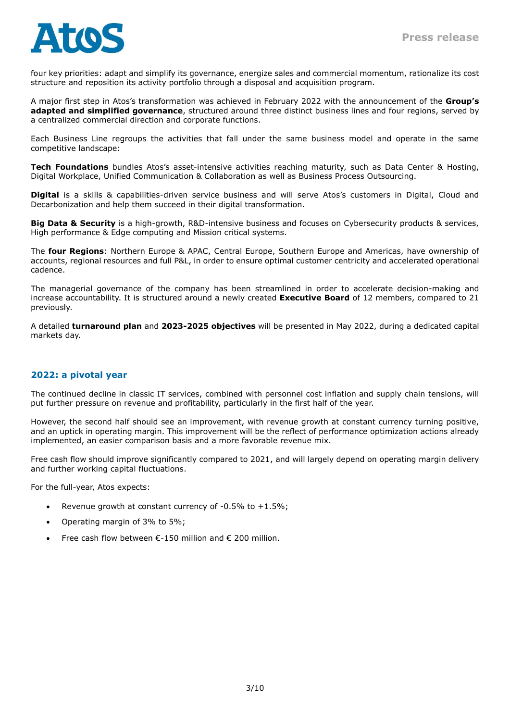

four key priorities: adapt and simplify its governance, energize sales and commercial momentum, rationalize its cost structure and reposition its activity portfolio through a disposal and acquisition program.

A major first step in Atos's transformation was achieved in February 2022 with the announcement of the **Group's adapted and simplified governance**, structured around three distinct business lines and four regions, served by a centralized commercial direction and corporate functions.

Each Business Line regroups the activities that fall under the same business model and operate in the same competitive landscape:

**Tech Foundations** bundles Atos's asset-intensive activities reaching maturity, such as Data Center & Hosting, Digital Workplace, Unified Communication & Collaboration as well as Business Process Outsourcing.

**Digital** is a skills & capabilities-driven service business and will serve Atos's customers in Digital, Cloud and Decarbonization and help them succeed in their digital transformation.

**Big Data & Security** is a high-growth, R&D-intensive business and focuses on Cybersecurity products & services, High performance & Edge computing and Mission critical systems.

The **four Regions**: Northern Europe & APAC, Central Europe, Southern Europe and Americas, have ownership of accounts, regional resources and full P&L, in order to ensure optimal customer centricity and accelerated operational cadence.

The managerial governance of the company has been streamlined in order to accelerate decision-making and increase accountability. It is structured around a newly created **Executive Board** of 12 members, compared to 21 previously.

A detailed **turnaround plan** and **2023-2025 objectives** will be presented in May 2022, during a dedicated capital markets day.

#### **2022: a pivotal year**

The continued decline in classic IT services, combined with personnel cost inflation and supply chain tensions, will put further pressure on revenue and profitability, particularly in the first half of the year.

However, the second half should see an improvement, with revenue growth at constant currency turning positive, and an uptick in operating margin. This improvement will be the reflect of performance optimization actions already implemented, an easier comparison basis and a more favorable revenue mix.

Free cash flow should improve significantly compared to 2021, and will largely depend on operating margin delivery and further working capital fluctuations.

For the full-year, Atos expects:

- Revenue growth at constant currency of  $-0.5\%$  to  $+1.5\%$ ;
- Operating margin of 3% to 5%;
- Free cash flow between  $\epsilon$ -150 million and  $\epsilon$  200 million.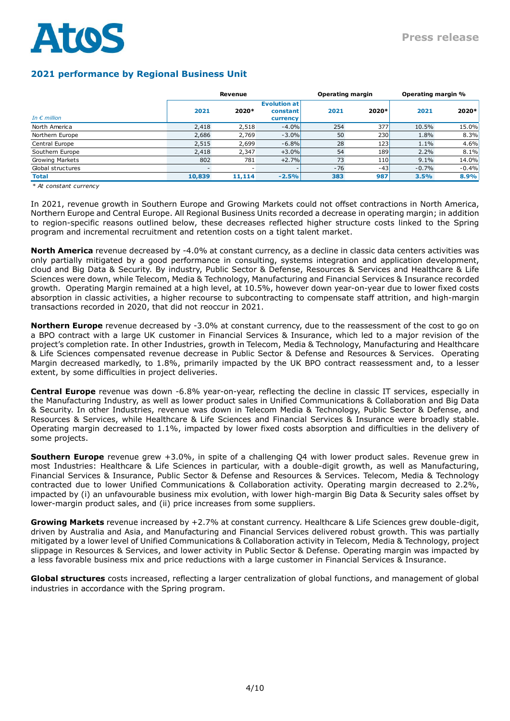

## **2021 performance by Regional Business Unit**

|                       |        | Revenue |                                             | <b>Operating margin</b> |                  | Operating margin % |         |
|-----------------------|--------|---------|---------------------------------------------|-------------------------|------------------|--------------------|---------|
| In $\epsilon$ million | 2021   | 2020*   | <b>Evolution at</b><br>constant<br>currency | 2021                    | 2020*            | 2021               | 2020*   |
| North America         | 2,418  | 2,518   | $-4.0%$                                     | 254                     | 377l             | 10.5%              | 15.0%   |
| Northern Europe       | 2,686  | 2,769   | $-3.0%$                                     | 50                      | 230              | 1.8%               | 8.3%    |
| Central Europe        | 2,515  | 2,699   | $-6.8%$                                     | 28                      | 123              | 1.1%               | 4.6%    |
| Southern Europe       | 2,418  | 2,347   | $+3.0%$                                     | 54                      | 189 <sup> </sup> | 2.2%               | 8.1%    |
| Growing Markets       | 802    | 781     | $+2.7%$                                     | 73                      | <b>110</b>       | 9.1%               | 14.0%   |
| Global structures     |        |         |                                             | $-76$                   | $-43$            | $-0.7%$            | $-0.4%$ |
| <b>Total</b>          | 10,839 | 11,114  | $-2.5%$                                     | 383                     | 987              | 3.5%               | 8.9%    |

*\* At constant currency*

In 2021, revenue growth in Southern Europe and Growing Markets could not offset contractions in North America, Northern Europe and Central Europe. All Regional Business Units recorded a decrease in operating margin; in addition to region-specific reasons outlined below, these decreases reflected higher structure costs linked to the Spring program and incremental recruitment and retention costs on a tight talent market.

**North America** revenue decreased by -4.0% at constant currency, as a decline in classic data centers activities was only partially mitigated by a good performance in consulting, systems integration and application development, cloud and Big Data & Security. By industry, Public Sector & Defense, Resources & Services and Healthcare & Life Sciences were down, while Telecom, Media & Technology, Manufacturing and Financial Services & Insurance recorded growth. Operating Margin remained at a high level, at 10.5%, however down year-on-year due to lower fixed costs absorption in classic activities, a higher recourse to subcontracting to compensate staff attrition, and high-margin transactions recorded in 2020, that did not reoccur in 2021.

**Northern Europe** revenue decreased by -3.0% at constant currency, due to the reassessment of the cost to go on a BPO contract with a large UK customer in Financial Services & Insurance, which led to a major revision of the project's completion rate. In other Industries, growth in Telecom, Media & Technology, Manufacturing and Healthcare & Life Sciences compensated revenue decrease in Public Sector & Defense and Resources & Services. Operating Margin decreased markedly, to 1.8%, primarily impacted by the UK BPO contract reassessment and, to a lesser extent, by some difficulties in project deliveries.

**Central Europe** revenue was down -6.8% year-on-year, reflecting the decline in classic IT services, especially in the Manufacturing Industry, as well as lower product sales in Unified Communications & Collaboration and Big Data & Security. In other Industries, revenue was down in Telecom Media & Technology, Public Sector & Defense, and Resources & Services, while Healthcare & Life Sciences and Financial Services & Insurance were broadly stable. Operating margin decreased to 1.1%, impacted by lower fixed costs absorption and difficulties in the delivery of some projects.

**Southern Europe** revenue grew +3.0%, in spite of a challenging Q4 with lower product sales. Revenue grew in most Industries: Healthcare & Life Sciences in particular, with a double-digit growth, as well as Manufacturing, Financial Services & Insurance, Public Sector & Defense and Resources & Services. Telecom, Media & Technology contracted due to lower Unified Communications & Collaboration activity. Operating margin decreased to 2.2%, impacted by (i) an unfavourable business mix evolution, with lower high-margin Big Data & Security sales offset by lower-margin product sales, and (ii) price increases from some suppliers.

**Growing Markets** revenue increased by +2.7% at constant currency. Healthcare & Life Sciences grew double-digit, driven by Australia and Asia, and Manufacturing and Financial Services delivered robust growth. This was partially mitigated by a lower level of Unified Communications & Collaboration activity in Telecom, Media & Technology, project slippage in Resources & Services, and lower activity in Public Sector & Defense. Operating margin was impacted by a less favorable business mix and price reductions with a large customer in Financial Services & Insurance.

**Global structures** costs increased, reflecting a larger centralization of global functions, and management of global industries in accordance with the Spring program.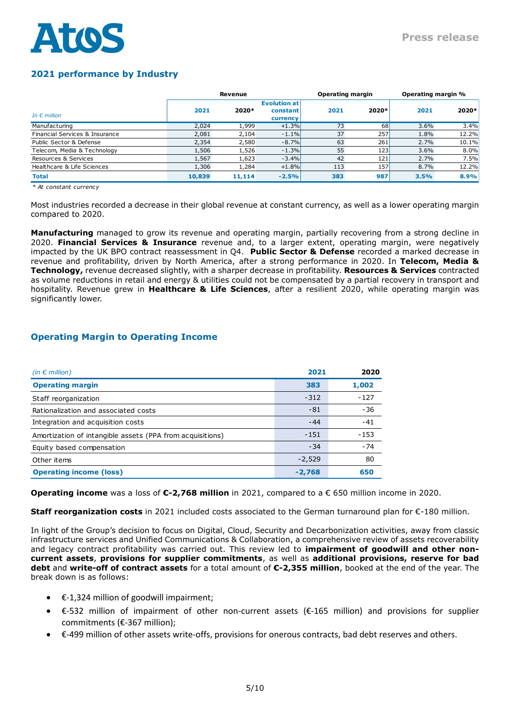## **2021 performance by Industry**

|                                |        | Revenue |                                             | <b>Operating margin</b> |       | Operating margin % |       |
|--------------------------------|--------|---------|---------------------------------------------|-------------------------|-------|--------------------|-------|
| In $\epsilon$ million          | 2021   | 2020*   | <b>Evolution at</b><br>constant<br>currency | 2021                    | 2020* | 2021               | 2020* |
| Manufacturing                  | 2,024  | 1,999   | $+1.3%$                                     | 73                      | 68    | 3.6%               | 3.4%  |
| Financial Services & Insurance | 2,081  | 2,104   | $-1.1%$                                     | 37                      | 257   | 1.8%               | 12.2% |
| Public Sector & Defense        | 2,354  | 2,580   | $-8.7%$                                     | 63                      | 261   | 2.7%               | 10.1% |
| Telecom, Media & Technology    | 1,506  | 1,526   | $-1.3%$                                     | 55                      | 123   | 3.6%               | 8.0%  |
| Resources & Services           | 1,567  | 1,623   | $-3.4%$                                     | 42                      | 121   | 2.7%               | 7.5%  |
| Healthcare & Life Sciences     | 1,306  | 1,284   | $+1.8%$                                     | 113                     | 157   | 8.7%               | 12.2% |
| <b>Total</b>                   | 10,839 | 11,114  | $-2.5%$                                     | 383                     | 987   | 3.5%               | 8.9%  |

*\* At constant currency*

Most industries recorded a decrease in their global revenue at constant currency, as well as a lower operating margin compared to 2020.

**Manufacturing** managed to grow its revenue and operating margin, partially recovering from a strong decline in 2020. **Financial Services & Insurance** revenue and, to a larger extent, operating margin, were negatively impacted by the UK BPO contract reassessment in Q4. **Public Sector & Defense** recorded a marked decrease in revenue and profitability, driven by North America, after a strong performance in 2020. In **Telecom, Media & Technology,** revenue decreased slightly, with a sharper decrease in profitability. **Resources & Services** contracted as volume reductions in retail and energy & utilities could not be compensated by a partial recovery in transport and hospitality. Revenue grew in **Healthcare & Life Sciences**, after a resilient 2020, while operating margin was significantly lower.

## **Operating Margin to Operating Income**

| (in $\epsilon$ million)                                   | 2021     | 2020   |
|-----------------------------------------------------------|----------|--------|
| <b>Operating margin</b>                                   | 383      | 1,002  |
| Staff reorganization                                      | $-312$   | $-127$ |
| Rationalization and associated costs                      | $-81$    | $-36$  |
| Integration and acquisition costs                         | $-44$    | $-41$  |
| Amortization of intangible assets (PPA from acquisitions) | $-151$   | $-153$ |
| Equity based compensation                                 | $-34$    | $-74$  |
| Other items                                               | $-2,529$ | 80     |
| <b>Operating income (loss)</b>                            | $-2.768$ | 650    |

**Operating income** was a loss of **€-2,768 million** in 2021, compared to a € 650 million income in 2020.

**Staff reorganization costs** in 2021 included costs associated to the German turnaround plan for €-180 million.

In light of the Group's decision to focus on Digital, Cloud, Security and Decarbonization activities, away from classic infrastructure services and Unified Communications & Collaboration, a comprehensive review of assets recoverability and legacy contract profitability was carried out. This review led to **impairment of goodwill and other noncurrent assets**, **provisions for supplier commitments**, as well as **additional provisions, reserve for bad debt** and **write-off of contract assets** for a total amount of **€-2,355 million**, booked at the end of the year. The break down is as follows:

- $\bullet$   $\epsilon$ -1,324 million of goodwill impairment;
- €-532 million of impairment of other non-current assets (€-165 million) and provisions for supplier commitments (€-367 million);
- €-499 million of other assets write-offs, provisions for onerous contracts, bad debt reserves and others.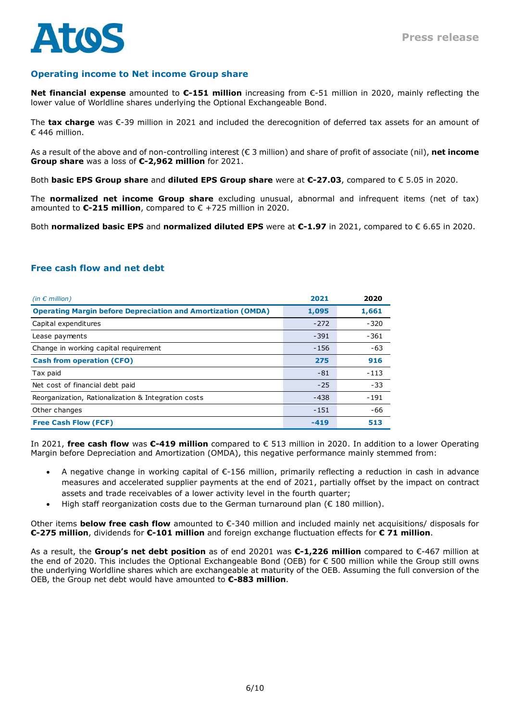

## **Operating income to Net income Group share**

**Net financial expense** amounted to **€-151 million** increasing from €-51 million in 2020, mainly reflecting the lower value of Worldline shares underlying the Optional Exchangeable Bond.

The **tax charge** was €-39 million in 2021 and included the derecognition of deferred tax assets for an amount of € 446 million.

As a result of the above and of non-controlling interest (€ 3 million) and share of profit of associate (nil), **net income Group share** was a loss of **€-2,962 million** for 2021.

Both **basic EPS Group share** and **diluted EPS Group share** were at **€-27.03**, compared to € 5.05 in 2020.

The **normalized net income Group share** excluding unusual, abnormal and infrequent items (net of tax) amounted to **€-215 million**, compared to € +725 million in 2020.

Both **normalized basic EPS** and **normalized diluted EPS** were at **€-1.97** in 2021, compared to € 6.65 in 2020.

## **Free cash flow and net debt**

| (in $\epsilon$ million)                                             | 2021   | 2020   |
|---------------------------------------------------------------------|--------|--------|
| <b>Operating Margin before Depreciation and Amortization (OMDA)</b> | 1,095  | 1,661  |
| Capital expenditures                                                | $-272$ | $-320$ |
| Lease payments                                                      | $-391$ | $-361$ |
| Change in working capital requirement                               | $-156$ | $-63$  |
| <b>Cash from operation (CFO)</b>                                    | 275    | 916    |
| Tax paid                                                            | $-81$  | $-113$ |
| Net cost of financial debt paid                                     | $-25$  | $-33$  |
| Reorganization, Rationalization & Integration costs                 | $-438$ | $-191$ |
| Other changes                                                       | $-151$ | $-66$  |
| <b>Free Cash Flow (FCF)</b>                                         | $-419$ | 513    |

In 2021, **free cash flow** was **€-419 million** compared to € 513 million in 2020. In addition to a lower Operating Margin before Depreciation and Amortization (OMDA), this negative performance mainly stemmed from:

- A negative change in working capital of €-156 million, primarily reflecting a reduction in cash in advance measures and accelerated supplier payments at the end of 2021, partially offset by the impact on contract assets and trade receivables of a lower activity level in the fourth quarter;
- High staff reorganization costs due to the German turnaround plan  $(\epsilon 180$  million).

Other items **below free cash flow** amounted to €-340 million and included mainly net acquisitions/ disposals for **€-275 million**, dividends for **€-101 million** and foreign exchange fluctuation effects for **€ 71 million**.

As a result, the **Group's net debt position** as of end 20201 was **€-1,226 million** compared to €-467 million at the end of 2020. This includes the Optional Exchangeable Bond (OEB) for € 500 million while the Group still owns the underlying Worldline shares which are exchangeable at maturity of the OEB. Assuming the full conversion of the OEB, the Group net debt would have amounted to **€-883 million**.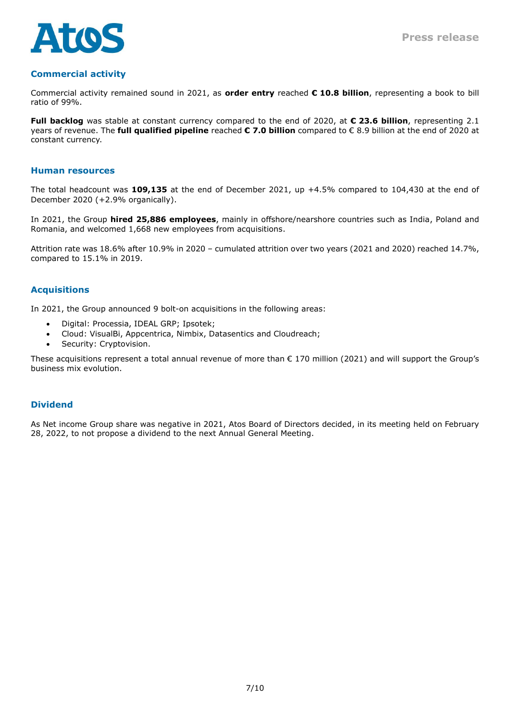

## **Commercial activity**

Commercial activity remained sound in 2021, as **order entry** reached **€ 10.8 billion**, representing a book to bill ratio of 99%.

**Full backlog** was stable at constant currency compared to the end of 2020, at **€ 23.6 billion**, representing 2.1 years of revenue. The **full qualified pipeline** reached **€ 7.0 billion** compared to € 8.9 billion at the end of 2020 at constant currency.

#### **Human resources**

The total headcount was **109,135** at the end of December 2021, up +4.5% compared to 104,430 at the end of December 2020 (+2.9% organically).

In 2021, the Group **hired 25,886 employees**, mainly in offshore/nearshore countries such as India, Poland and Romania, and welcomed 1,668 new employees from acquisitions.

Attrition rate was 18.6% after 10.9% in 2020 – cumulated attrition over two years (2021 and 2020) reached 14.7%, compared to 15.1% in 2019.

## **Acquisitions**

In 2021, the Group announced 9 bolt-on acquisitions in the following areas:

- Digital: Processia, IDEAL GRP; Ipsotek;
- Cloud: VisualBi, Appcentrica, Nimbix, Datasentics and Cloudreach;
- Security: Cryptovision.

These acquisitions represent a total annual revenue of more than € 170 million (2021) and will support the Group's business mix evolution.

#### **Dividend**

As Net income Group share was negative in 2021, Atos Board of Directors decided, in its meeting held on February 28, 2022, to not propose a dividend to the next Annual General Meeting.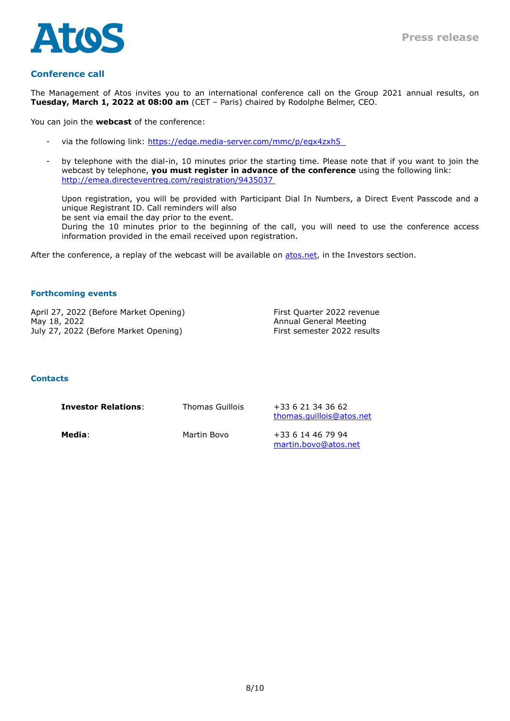

### **Conference call**

The Management of Atos invites you to an international conference call on the Group 2021 annual results, on **Tuesday, March 1, 2022 at 08:00 am** (CET – Paris) chaired by Rodolphe Belmer, CEO.

You can join the **webcast** of the conference:

- via the following link: https://edge.media-server.com/mmc/p/egx4zxh5
- by telephone with the dial-in, 10 minutes prior the starting time. Please note that if you want to join the webcast by telephone, **you must register in advance of the conference** using the following link: http://emea.directeventreg.com/registration/9435037

Upon registration, you will be provided with Participant Dial In Numbers, a Direct Event Passcode and a unique Registrant ID. Call reminders will also

be sent via email the day prior to the event.

During the 10 minutes prior to the beginning of the call, you will need to use the conference access information provided in the email received upon registration.

After the conference, a replay of the webcast will be available on [atos.net,](https://atos.net/en/investors) in the Investors section.

#### **Forthcoming events**

April 27, 2022 (Before Market Opening) First Quarter 2022 revenue May 18, 2022 Annual General Meeting July 27, 2022 (Before Market Opening) First semester 2022 results

#### **Contacts**

| <b>Investor Relations:</b> | Thomas Guillois | +33 6 21 34 36 62<br>thomas.quillois@atos.net |
|----------------------------|-----------------|-----------------------------------------------|
| Media:                     | Martin Bovo     | +33 6 14 46 79 94<br>martin.bovo@atos.net     |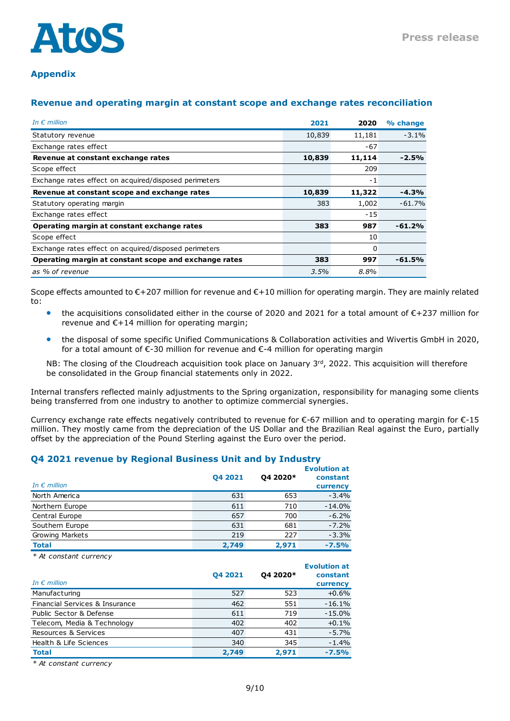

## **Appendix**

## **Revenue and operating margin at constant scope and exchange rates reconciliation**

| In $\epsilon$ million                                 | 2021   | 2020   | % change |
|-------------------------------------------------------|--------|--------|----------|
| Statutory revenue                                     | 10,839 | 11,181 | $-3.1%$  |
| Exchange rates effect                                 |        | $-67$  |          |
| Revenue at constant exchange rates                    | 10,839 | 11,114 | $-2.5%$  |
| Scope effect                                          |        | 209    |          |
| Exchange rates effect on acquired/disposed perimeters |        | $-1$   |          |
| Revenue at constant scope and exchange rates          | 10,839 | 11,322 | $-4.3%$  |
| Statutory operating margin                            | 383    | 1,002  | $-61.7%$ |
| Exchange rates effect                                 |        | $-15$  |          |
| Operating margin at constant exchange rates           | 383    | 987    | $-61.2%$ |
| Scope effect                                          |        | 10     |          |
| Exchange rates effect on acquired/disposed perimeters |        | 0      |          |
| Operating margin at constant scope and exchange rates | 383    | 997    | $-61.5%$ |
| as % of revenue                                       | 3.5%   | 8.8%   |          |

Scope effects amounted to €+207 million for revenue and €+10 million for operating margin. They are mainly related to:

- the acquisitions consolidated either in the course of 2020 and 2021 for a total amount of €+237 million for revenue and  $E+14$  million for operating margin;
- the disposal of some specific Unified Communications & Collaboration activities and Wivertis GmbH in 2020, for a total amount of  $\epsilon$ -30 million for revenue and  $\epsilon$ -4 million for operating margin

NB: The closing of the Cloudreach acquisition took place on January 3<sup>rd</sup>, 2022. This acquisition will therefore be consolidated in the Group financial statements only in 2022.

Internal transfers reflected mainly adjustments to the Spring organization, responsibility for managing some clients being transferred from one industry to another to optimize commercial synergies.

Currency exchange rate effects negatively contributed to revenue for  $\epsilon$ -67 million and to operating margin for  $\epsilon$ -15 million. They mostly came from the depreciation of the US Dollar and the Brazilian Real against the Euro, partially offset by the appreciation of the Pound Sterling against the Euro over the period.

#### **Q4 2021 revenue by Regional Business Unit and by Industry**

| In $\epsilon$ million  | 04 2021 | Q4 2020* | <b>Evolution at</b><br>constant<br>currency |
|------------------------|---------|----------|---------------------------------------------|
| North America          | 631     | 653      | $-3.4%$                                     |
| Northern Europe        | 611     | 710      | $-14.0%$                                    |
| Central Europe         | 657     | 700      | $-6.2%$                                     |
| Southern Europe        | 631     | 681      | $-7.2%$                                     |
| <b>Growing Markets</b> | 219     | 227      | $-3.3%$                                     |
| <b>Total</b>           | 2,749   | 2,971    | $-7.5%$                                     |

*\* At constant currency*

| In $\epsilon$ million          | 04 2021 | Q4 2020* | <b>Evolution at</b><br>constant<br>currency |
|--------------------------------|---------|----------|---------------------------------------------|
| Manufacturing                  | 527     | 523      | $+0.6%$                                     |
| Financial Services & Insurance | 462     | 551      | $-16.1%$                                    |
| Public Sector & Defense        | 611     | 719      | $-15.0%$                                    |
| Telecom, Media & Technology    | 402     | 402      | $+0.1%$                                     |
| Resources & Services           | 407     | 431      | $-5.7%$                                     |
| Health & Life Sciences         | 340     | 345      | $-1.4%$                                     |
| <b>Total</b>                   | 2.749   | 2.971    | $-7.5%$                                     |

*\* At constant currency*